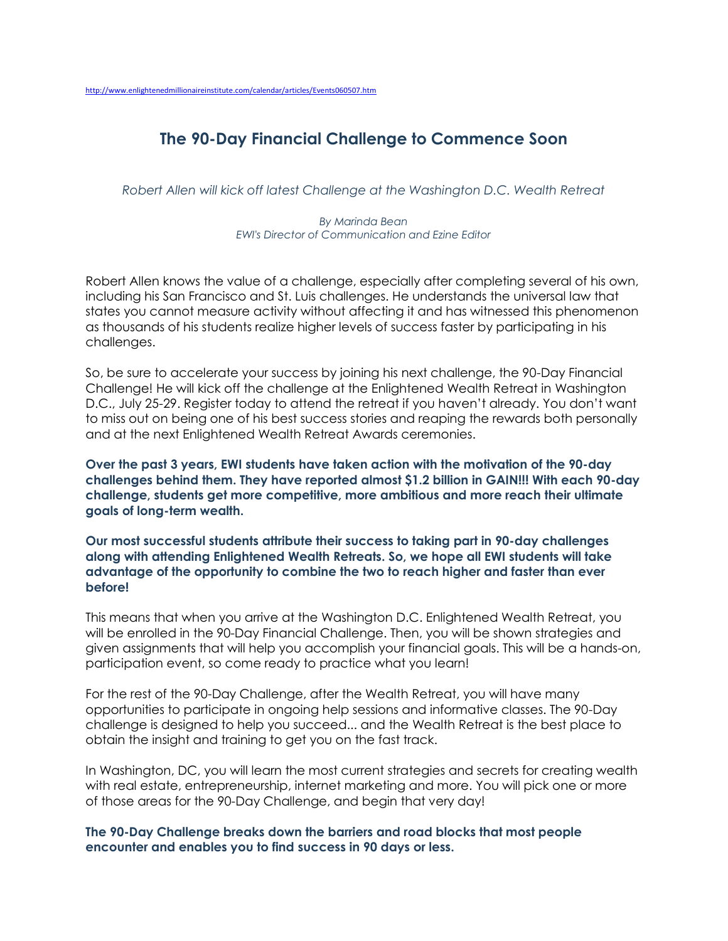## **The 90-Day Financial Challenge to Commence Soon**

*Robert Allen will kick off latest Challenge at the Washington D.C. Wealth Retreat*

*By Marinda Bean EWI's Director of Communication and Ezine Editor* 

Robert Allen knows the value of a challenge, especially after completing several of his own, including his San Francisco and St. Luis challenges. He understands the universal law that states you cannot measure activity without affecting it and has witnessed this phenomenon as thousands of his students realize higher levels of success faster by participating in his challenges.

So, be sure to accelerate your success by joining his next challenge, the 90-Day Financial Challenge! He will kick off the challenge at the Enlightened Wealth Retreat in Washington D.C., July 25-29. Register today to attend the retreat if you haven't already. You don't want to miss out on being one of his best success stories and reaping the rewards both personally and at the next Enlightened Wealth Retreat Awards ceremonies.

**Over the past 3 years, EWI students have taken action with the motivation of the 90-day challenges behind them. They have reported almost \$1.2 billion in GAIN!!! With each 90-day challenge, students get more competitive, more ambitious and more reach their ultimate goals of long-term wealth.** 

**Our most successful students attribute their success to taking part in 90-day challenges along with attending Enlightened Wealth Retreats. So, we hope all EWI students will take advantage of the opportunity to combine the two to reach higher and faster than ever before!**

This means that when you arrive at the Washington D.C. Enlightened Wealth Retreat, you will be enrolled in the 90-Day Financial Challenge. Then, you will be shown strategies and given assignments that will help you accomplish your financial goals. This will be a hands-on, participation event, so come ready to practice what you learn!

For the rest of the 90-Day Challenge, after the Wealth Retreat, you will have many opportunities to participate in ongoing help sessions and informative classes. The 90-Day challenge is designed to help you succeed... and the Wealth Retreat is the best place to obtain the insight and training to get you on the fast track.

In Washington, DC, you will learn the most current strategies and secrets for creating wealth with real estate, entrepreneurship, internet marketing and more. You will pick one or more of those areas for the 90-Day Challenge, and begin that very day!

**The 90-Day Challenge breaks down the barriers and road blocks that most people encounter and enables you to find success in 90 days or less.**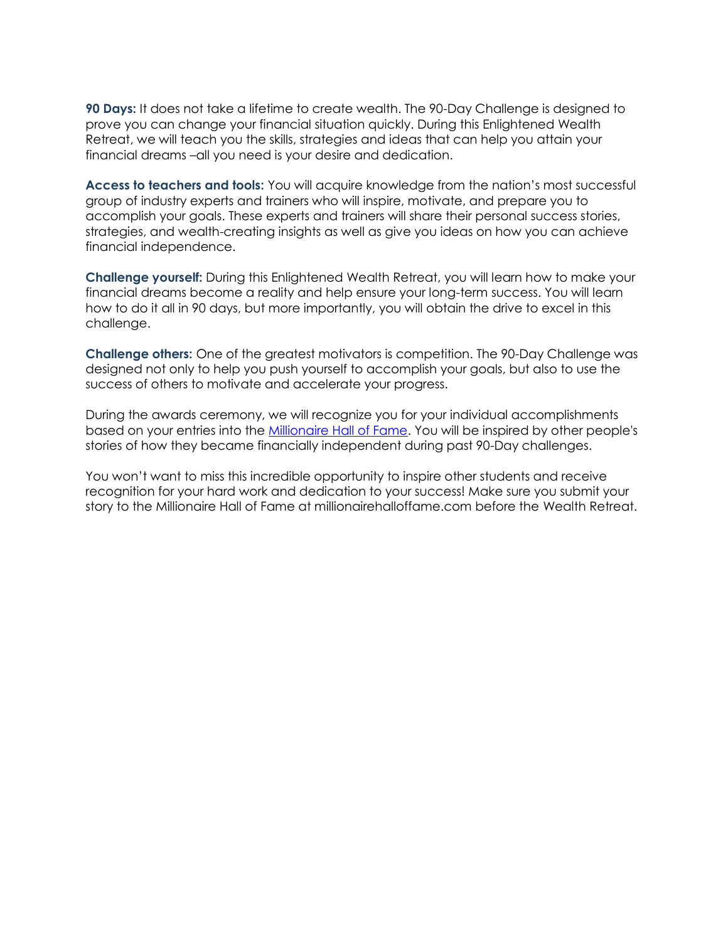**90 Days:** It does not take a lifetime to create wealth. The 90-Day Challenge is designed to prove you can change your financial situation quickly. During this Enlightened Wealth Retreat, we will teach you the skills, strategies and ideas that can help you attain your financial dreams –all you need is your desire and dedication.

**Access to teachers and tools:** You will acquire knowledge from the nation's most successful group of industry experts and trainers who will inspire, motivate, and prepare you to accomplish your goals. These experts and trainers will share their personal success stories, strategies, and wealth-creating insights as well as give you ideas on how you can achieve financial independence.

**Challenge yourself:** During this Enlightened Wealth Retreat, you will learn how to make your financial dreams become a reality and help ensure your long-term success. You will learn how to do it all in 90 days, but more importantly, you will obtain the drive to excel in this challenge.

**Challenge others:** One of the greatest motivators is competition. The 90-Day Challenge was designed not only to help you push yourself to accomplish your goals, but also to use the success of others to motivate and accelerate your progress.

During the awards ceremony, we will recognize you for your individual accomplishments based on your entries into the **Millionaire Hall of Fame**. You will be inspired by other people's stories of how they became financially independent during past 90-Day challenges.

You won't want to miss this incredible opportunity to inspire other students and receive recognition for your hard work and dedication to your success! Make sure you submit your story to the Millionaire Hall of Fame at millionairehalloffame.com before the Wealth Retreat.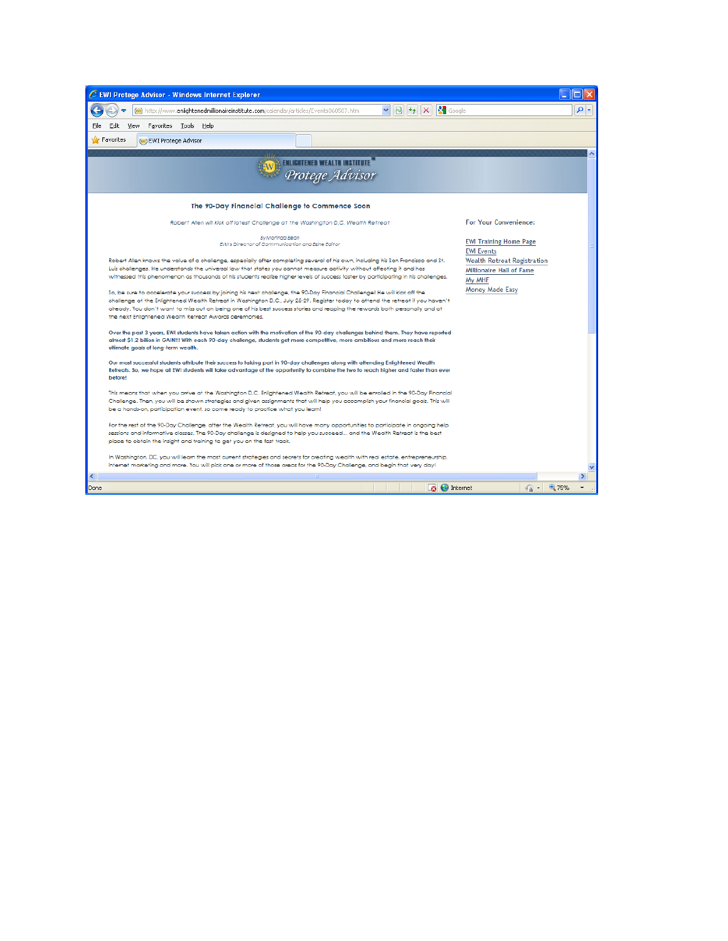| E EWI Protege Advisor - Windows Internet Explorer                                                                                                                                                                                                                                                                                                                                                                                                      |                                                                   |
|--------------------------------------------------------------------------------------------------------------------------------------------------------------------------------------------------------------------------------------------------------------------------------------------------------------------------------------------------------------------------------------------------------------------------------------------------------|-------------------------------------------------------------------|
| <b>S</b> Google<br>$  \mathbf{R}   + \mathbf{H}   \times   $<br>http://www.enlightenedmillionaireinstitute.com/calendar/articles/Events060507.htm                                                                                                                                                                                                                                                                                                      | . م                                                               |
| View Favorites Tools<br>Edit<br>File<br>Help                                                                                                                                                                                                                                                                                                                                                                                                           |                                                                   |
| <b>Favorites</b><br>(w) EWI Protege Advisor                                                                                                                                                                                                                                                                                                                                                                                                            |                                                                   |
|                                                                                                                                                                                                                                                                                                                                                                                                                                                        |                                                                   |
| Protege Advisor                                                                                                                                                                                                                                                                                                                                                                                                                                        |                                                                   |
| The 90-Day Financial Challenge to Commence Soon                                                                                                                                                                                                                                                                                                                                                                                                        |                                                                   |
| Robert Allen will kick off latest Challenge at the Washington D.C. Wealth Retreat                                                                                                                                                                                                                                                                                                                                                                      | <b>For Your Convenience:</b>                                      |
| <b>By Marinda Bean</b><br>EWI's Director of Communication and Ezine Editor                                                                                                                                                                                                                                                                                                                                                                             | <b>EWI Training Home Page</b><br><b>EWI Events</b>                |
| Robert Allen knows the value of a challenge, especially after completing several of his own, including his San Francisco and St.<br>Luis challenges. He understands the universal law that states you cannot measure activity without affecting it and has<br>witnessed this phenomenon as thousands of his students realize higher levels of success faster by participating in his challenges.                                                       | Wealth Retreat Registration<br>Millionaire Hall of Fame<br>My MHF |
| So, be sure to accelerate your success by joining his next challenge, the 90-Day Financial Challenge! He will kick off the<br>challenge at the Enlightened Wealth Retreat in Washington D.C., July 25-29. Register today to attend the retreat if you haven't<br>already. You don't want to miss out on being one of his best success stories and reaping the rewards both personally and at<br>the next Enlightened Wealth Retreat Awards ceremonies. | Money Made Easy                                                   |
| Over the past 3 years, EWI students have taken action with the motivation of the 90-day challenges behind them. They have reported<br>almost \$1.2 billion in GAIN!!! With each 90-day challenge, students get more competitive, more ambitious and more reach their<br>ultimate goals of long-term wealth.                                                                                                                                            |                                                                   |
| Our most successful students attribute their success to taking part in 90-day challenges along with attending Enlightened Wealth<br>Retreats. So, we hope all EWI students will take advantage of the opportunity to combine the two to reach higher and faster than ever<br>before!                                                                                                                                                                   |                                                                   |
| This means that when you arrive at the Washington D.C. Enlightened Wealth Retreat, you will be enrolled in the 90-Day Financial<br>Challenge. Then, you will be shown strategies and given assignments that will help you accomplish your financial goals. This will<br>be a hands-on, participation event, so come ready to practice what you learn!                                                                                                  |                                                                   |
| For the rest of the 90-Day Challenge, after the Wealth Retreat, you will have many opportunities to participate in ongoing help<br>sessions and informative classes. The 90-Day challenge is designed to help you succeed and the Wealth Retreat is the best<br>place to obtain the insight and training to get you on the fast track.                                                                                                                 |                                                                   |
| In Washington, DC, you will learn the most current strategies and secrets for creating wealth with real estate, entrepreneurship,<br>internet marketing and more. You will pick one or more of those areas for the 90-Day Challenge, and begin that very day!                                                                                                                                                                                          |                                                                   |
| $\left\langle \cdot \right\rangle$                                                                                                                                                                                                                                                                                                                                                                                                                     | $\overline{ }$                                                    |
| <b>B</b><br>Done                                                                                                                                                                                                                                                                                                                                                                                                                                       | ● ● 75%<br>$\bigoplus$ Internet                                   |